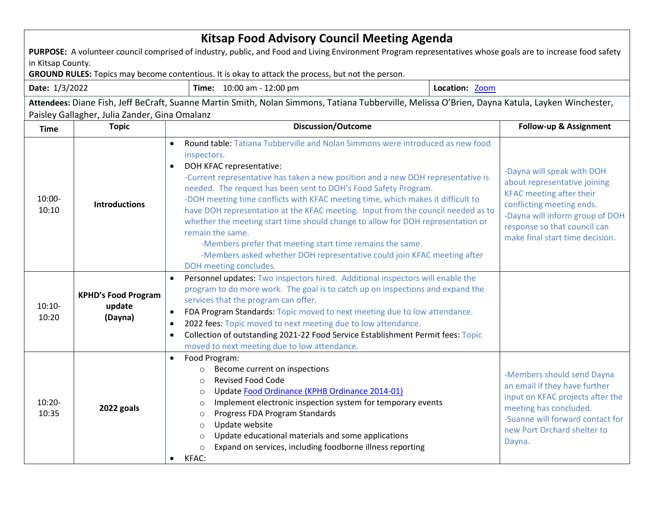| <b>Kitsap Food Advisory Council Meeting Agenda</b>                                                                                                                                               |                                                 |                                                                                                                                                                                                                                                                                                                                                                                                                                                                                                                                                                                                                                                                                                                                                            |  |                                                                                                                                                                                                                                  |  |  |  |
|--------------------------------------------------------------------------------------------------------------------------------------------------------------------------------------------------|-------------------------------------------------|------------------------------------------------------------------------------------------------------------------------------------------------------------------------------------------------------------------------------------------------------------------------------------------------------------------------------------------------------------------------------------------------------------------------------------------------------------------------------------------------------------------------------------------------------------------------------------------------------------------------------------------------------------------------------------------------------------------------------------------------------------|--|----------------------------------------------------------------------------------------------------------------------------------------------------------------------------------------------------------------------------------|--|--|--|
| PURPOSE: A volunteer council comprised of industry, public, and Food and Living Environment Program representatives whose goals are to increase food safety                                      |                                                 |                                                                                                                                                                                                                                                                                                                                                                                                                                                                                                                                                                                                                                                                                                                                                            |  |                                                                                                                                                                                                                                  |  |  |  |
| in Kitsap County.<br>GROUND RULES: Topics may become contentious. It is okay to attack the process, but not the person.                                                                          |                                                 |                                                                                                                                                                                                                                                                                                                                                                                                                                                                                                                                                                                                                                                                                                                                                            |  |                                                                                                                                                                                                                                  |  |  |  |
| Time: 10:00 am - 12:00 pm<br>Date: 1/3/2022                                                                                                                                                      |                                                 | Location: Zoom                                                                                                                                                                                                                                                                                                                                                                                                                                                                                                                                                                                                                                                                                                                                             |  |                                                                                                                                                                                                                                  |  |  |  |
|                                                                                                                                                                                                  |                                                 |                                                                                                                                                                                                                                                                                                                                                                                                                                                                                                                                                                                                                                                                                                                                                            |  |                                                                                                                                                                                                                                  |  |  |  |
| Attendees: Diane Fish, Jeff BeCraft, Suanne Martin Smith, Nolan Simmons, Tatiana Tubberville, Melissa O'Brien, Dayna Katula, Layken Winchester,<br>Paisley Gallagher, Julia Zander, Gina Omalanz |                                                 |                                                                                                                                                                                                                                                                                                                                                                                                                                                                                                                                                                                                                                                                                                                                                            |  |                                                                                                                                                                                                                                  |  |  |  |
| <b>Topic</b><br><b>Time</b>                                                                                                                                                                      |                                                 | <b>Discussion/Outcome</b>                                                                                                                                                                                                                                                                                                                                                                                                                                                                                                                                                                                                                                                                                                                                  |  | Follow-up & Assignment                                                                                                                                                                                                           |  |  |  |
| 10:00-<br>10:10                                                                                                                                                                                  | <b>Introductions</b>                            | Round table: Tatiana Tubberville and Nolan Simmons were introduced as new food<br>$\bullet$<br>inspectors.<br>DOH KFAC representative:<br>$\bullet$<br>-Current representative has taken a new position and a new DOH representative is<br>needed. The request has been sent to DOH's Food Safety Program.<br>-DOH meeting time conflicts with KFAC meeting time, which makes it difficult to<br>have DOH representation at the KFAC meeting. Input from the council needed as to<br>whether the meeting start time should change to allow for DOH representation or<br>remain the same.<br>-Members prefer that meeting start time remains the same.<br>-Members asked whether DOH representative could join KFAC meeting after<br>DOH meeting concludes. |  | -Dayna will speak with DOH<br>about representative joining<br><b>KFAC</b> meeting after their<br>conflicting meeting ends.<br>-Dayna will inform group of DOH<br>response so that council can<br>make final start time decision. |  |  |  |
| $10:10-$<br>10:20                                                                                                                                                                                | <b>KPHD's Food Program</b><br>update<br>(Dayna) | Personnel updates: Two inspectors hired. Additional inspectors will enable the<br>$\bullet$<br>program to do more work. The goal is to catch up on inspections and expand the<br>services that the program can offer.<br>FDA Program Standards: Topic moved to next meeting due to low attendance.<br>2022 fees: Topic moved to next meeting due to low attendance.<br>Collection of outstanding 2021-22 Food Service Establishment Permit fees: Topic<br>$\bullet$<br>moved to next meeting due to low attendance.                                                                                                                                                                                                                                        |  |                                                                                                                                                                                                                                  |  |  |  |
| $10:20 -$<br>10:35                                                                                                                                                                               | 2022 goals                                      | Food Program:<br>$\bullet$<br>Become current on inspections<br>$\circ$<br><b>Revised Food Code</b><br>Update Food Ordinance (KPHB Ordinance 2014-01)<br>$\circ$<br>Implement electronic inspection system for temporary events<br>O<br>Progress FDA Program Standards<br>$\Omega$<br>Update website<br>$\circ$<br>Update educational materials and some applications<br>$\circ$<br>Expand on services, including foodborne illness reporting<br>$\bigcirc$<br>KFAC:<br>$\bullet$                                                                                                                                                                                                                                                                           |  | -Members should send Dayna<br>an email if they have further<br>input on KFAC projects after the<br>meeting has concluded.<br>-Suanne will forward contact for<br>new Port Orchard shelter to<br>Dayna.                           |  |  |  |